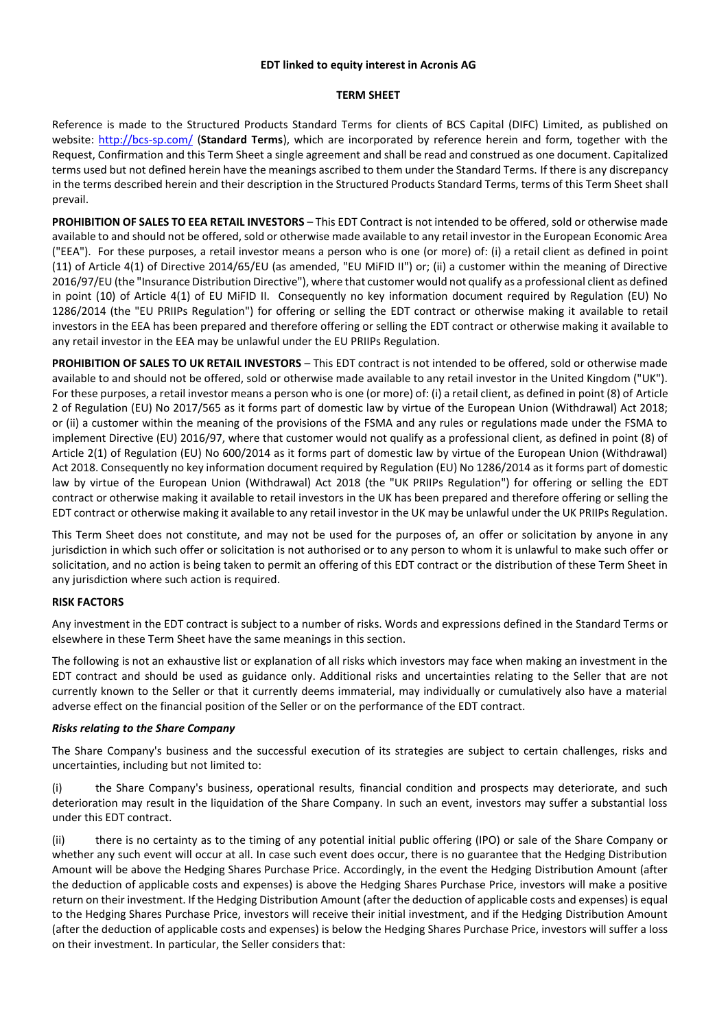#### **EDT linked to equity interest in Acronis AG**

### **TERM SHEET**

Reference is made to the Structured Products Standard Terms for clients of BCS Capital (DIFC) Limited, as published on website:<http://bcs-sp.com/> (**Standard Terms**), which are incorporated by reference herein and form, together with the Request, Confirmation and this Term Sheet a single agreement and shall be read and construed as one document. Capitalized terms used but not defined herein have the meanings ascribed to them under the Standard Terms. If there is any discrepancy in the terms described herein and their description in the Structured Products Standard Terms, terms of this Term Sheet shall prevail.

**PROHIBITION OF SALES TO EEA RETAIL INVESTORS** – This EDT Contract is not intended to be offered, sold or otherwise made available to and should not be offered, sold or otherwise made available to any retail investor in the European Economic Area ("EEA"). For these purposes, a retail investor means a person who is one (or more) of: (i) a retail client as defined in point (11) of Article 4(1) of Directive 2014/65/EU (as amended, "EU MiFID II") or; (ii) a customer within the meaning of Directive 2016/97/EU (the "Insurance Distribution Directive"), where that customer would not qualify as a professional client as defined in point (10) of Article 4(1) of EU MiFID II. Consequently no key information document required by Regulation (EU) No 1286/2014 (the "EU PRIIPs Regulation") for offering or selling the EDT contract or otherwise making it available to retail investors in the EEA has been prepared and therefore offering or selling the EDT contract or otherwise making it available to any retail investor in the EEA may be unlawful under the EU PRIIPs Regulation.

**PROHIBITION OF SALES TO UK RETAIL INVESTORS** – This EDT contract is not intended to be offered, sold or otherwise made available to and should not be offered, sold or otherwise made available to any retail investor in the United Kingdom ("UK"). For these purposes, a retail investor means a person who is one (or more) of: (i) a retail client, as defined in point (8) of Article 2 of Regulation (EU) No 2017/565 as it forms part of domestic law by virtue of the European Union (Withdrawal) Act 2018; or (ii) a customer within the meaning of the provisions of the FSMA and any rules or regulations made under the FSMA to implement Directive (EU) 2016/97, where that customer would not qualify as a professional client, as defined in point (8) of Article 2(1) of Regulation (EU) No 600/2014 as it forms part of domestic law by virtue of the European Union (Withdrawal) Act 2018. Consequently no key information document required by Regulation (EU) No 1286/2014 as it forms part of domestic law by virtue of the European Union (Withdrawal) Act 2018 (the "UK PRIIPs Regulation") for offering or selling the EDT contract or otherwise making it available to retail investors in the UK has been prepared and therefore offering or selling the EDT contract or otherwise making it available to any retail investor in the UK may be unlawful under the UK PRIIPs Regulation.

This Term Sheet does not constitute, and may not be used for the purposes of, an offer or solicitation by anyone in any jurisdiction in which such offer or solicitation is not authorised or to any person to whom it is unlawful to make such offer or solicitation, and no action is being taken to permit an offering of this EDT contract or the distribution of these Term Sheet in any jurisdiction where such action is required.

## **RISK FACTORS**

Any investment in the EDT contract is subject to a number of risks. Words and expressions defined in the Standard Terms or elsewhere in these Term Sheet have the same meanings in this section.

The following is not an exhaustive list or explanation of all risks which investors may face when making an investment in the EDT contract and should be used as guidance only. Additional risks and uncertainties relating to the Seller that are not currently known to the Seller or that it currently deems immaterial, may individually or cumulatively also have a material adverse effect on the financial position of the Seller or on the performance of the EDT contract.

## *Risks relating to the Share Company*

The Share Company's business and the successful execution of its strategies are subject to certain challenges, risks and uncertainties, including but not limited to:

the Share Company's business, operational results, financial condition and prospects may deteriorate, and such deterioration may result in the liquidation of the Share Company. In such an event, investors may suffer a substantial loss under this EDT contract.

(ii) there is no certainty as to the timing of any potential initial public offering (IPO) or sale of the Share Company or whether any such event will occur at all. In case such event does occur, there is no guarantee that the Hedging Distribution Amount will be above the Hedging Shares Purchase Price. Accordingly, in the event the Hedging Distribution Amount (after the deduction of applicable costs and expenses) is above the Hedging Shares Purchase Price, investors will make a positive return on their investment. If the Hedging Distribution Amount (after the deduction of applicable costs and expenses) is equal to the Hedging Shares Purchase Price, investors will receive their initial investment, and if the Hedging Distribution Amount (after the deduction of applicable costs and expenses) is below the Hedging Shares Purchase Price, investors will suffer a loss on their investment. In particular, the Seller considers that: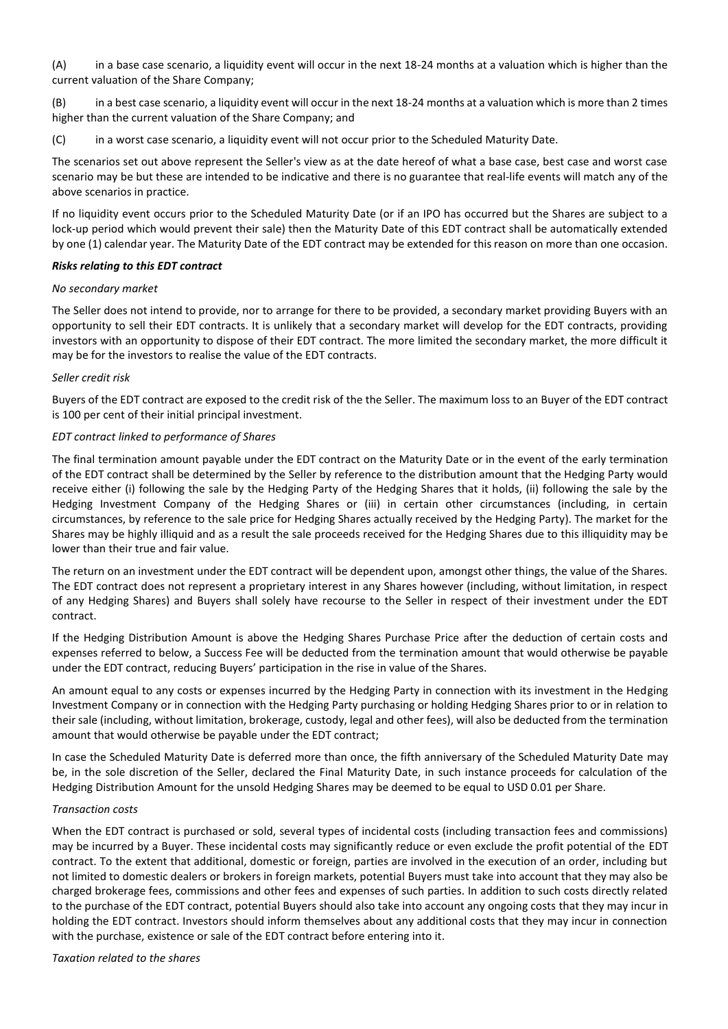(A) in a base case scenario, a liquidity event will occur in the next 18-24 months at a valuation which is higher than the current valuation of the Share Company;

(B) in a best case scenario, a liquidity event will occur in the next 18-24 months at a valuation which is more than 2 times higher than the current valuation of the Share Company; and

(C) in a worst case scenario, a liquidity event will not occur prior to the Scheduled Maturity Date.

The scenarios set out above represent the Seller's view as at the date hereof of what a base case, best case and worst case scenario may be but these are intended to be indicative and there is no guarantee that real-life events will match any of the above scenarios in practice.

If no liquidity event occurs prior to the Scheduled Maturity Date (or if an IPO has occurred but the Shares are subject to a lock-up period which would prevent their sale) then the Maturity Date of this EDT contract shall be automatically extended by one (1) calendar year. The Maturity Date of the EDT contract may be extended for this reason on more than one occasion.

### *Risks relating to this EDT contract*

#### *No secondary market*

The Seller does not intend to provide, nor to arrange for there to be provided, a secondary market providing Buyers with an opportunity to sell their EDT contracts. It is unlikely that a secondary market will develop for the EDT contracts, providing investors with an opportunity to dispose of their EDT contract. The more limited the secondary market, the more difficult it may be for the investors to realise the value of the EDT contracts.

### *Seller credit risk*

Buyers of the EDT contract are exposed to the credit risk of the the Seller. The maximum loss to an Buyer of the EDT contract is 100 per cent of their initial principal investment.

### *EDT contract linked to performance of Shares*

The final termination amount payable under the EDT contract on the Maturity Date or in the event of the early termination of the EDT contract shall be determined by the Seller by reference to the distribution amount that the Hedging Party would receive either (i) following the sale by the Hedging Party of the Hedging Shares that it holds, (ii) following the sale by the Hedging Investment Company of the Hedging Shares or (iii) in certain other circumstances (including, in certain circumstances, by reference to the sale price for Hedging Shares actually received by the Hedging Party). The market for the Shares may be highly illiquid and as a result the sale proceeds received for the Hedging Shares due to this illiquidity may be lower than their true and fair value.

The return on an investment under the EDT contract will be dependent upon, amongst other things, the value of the Shares. The EDT contract does not represent a proprietary interest in any Shares however (including, without limitation, in respect of any Hedging Shares) and Buyers shall solely have recourse to the Seller in respect of their investment under the EDT contract.

If the Hedging Distribution Amount is above the Hedging Shares Purchase Price after the deduction of certain costs and expenses referred to below, a Success Fee will be deducted from the termination amount that would otherwise be payable under the EDT contract, reducing Buyers' participation in the rise in value of the Shares.

An amount equal to any costs or expenses incurred by the Hedging Party in connection with its investment in the Hedging Investment Company or in connection with the Hedging Party purchasing or holding Hedging Shares prior to or in relation to their sale (including, without limitation, brokerage, custody, legal and other fees), will also be deducted from the termination amount that would otherwise be payable under the EDT contract;

In case the Scheduled Maturity Date is deferred more than once, the fifth anniversary of the Scheduled Maturity Date may be, in the sole discretion of the Seller, declared the Final Maturity Date, in such instance proceeds for calculation of the Hedging Distribution Amount for the unsold Hedging Shares may be deemed to be equal to USD 0.01 per Share.

#### *Transaction costs*

When the EDT contract is purchased or sold, several types of incidental costs (including transaction fees and commissions) may be incurred by a Buyer. These incidental costs may significantly reduce or even exclude the profit potential of the EDT contract. To the extent that additional, domestic or foreign, parties are involved in the execution of an order, including but not limited to domestic dealers or brokers in foreign markets, potential Buyers must take into account that they may also be charged brokerage fees, commissions and other fees and expenses of such parties. In addition to such costs directly related to the purchase of the EDT contract, potential Buyers should also take into account any ongoing costs that they may incur in holding the EDT contract. Investors should inform themselves about any additional costs that they may incur in connection with the purchase, existence or sale of the EDT contract before entering into it.

#### *Taxation related to the shares*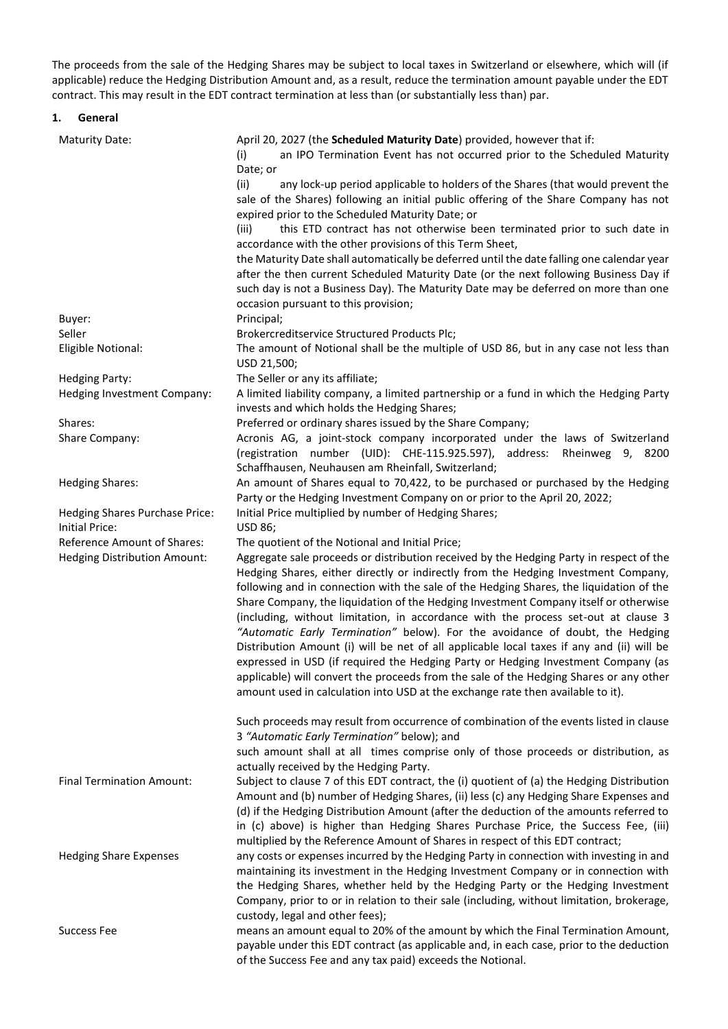The proceeds from the sale of the Hedging Shares may be subject to local taxes in Switzerland or elsewhere, which will (if applicable) reduce the Hedging Distribution Amount and, as a result, reduce the termination amount payable under the EDT contract. This may result in the EDT contract termination at less than (or substantially less than) par.

# **1. General**

| <b>Maturity Date:</b>                                       | April 20, 2027 (the Scheduled Maturity Date) provided, however that if:<br>an IPO Termination Event has not occurred prior to the Scheduled Maturity<br>(i)<br>Date; or<br>any lock-up period applicable to holders of the Shares (that would prevent the<br>(ii)<br>sale of the Shares) following an initial public offering of the Share Company has not<br>expired prior to the Scheduled Maturity Date; or<br>(iii)<br>this ETD contract has not otherwise been terminated prior to such date in<br>accordance with the other provisions of this Term Sheet,<br>the Maturity Date shall automatically be deferred until the date falling one calendar year<br>after the then current Scheduled Maturity Date (or the next following Business Day if<br>such day is not a Business Day). The Maturity Date may be deferred on more than one                                                                                                            |
|-------------------------------------------------------------|-----------------------------------------------------------------------------------------------------------------------------------------------------------------------------------------------------------------------------------------------------------------------------------------------------------------------------------------------------------------------------------------------------------------------------------------------------------------------------------------------------------------------------------------------------------------------------------------------------------------------------------------------------------------------------------------------------------------------------------------------------------------------------------------------------------------------------------------------------------------------------------------------------------------------------------------------------------|
|                                                             | occasion pursuant to this provision;                                                                                                                                                                                                                                                                                                                                                                                                                                                                                                                                                                                                                                                                                                                                                                                                                                                                                                                      |
| Buyer:                                                      | Principal;                                                                                                                                                                                                                                                                                                                                                                                                                                                                                                                                                                                                                                                                                                                                                                                                                                                                                                                                                |
| Seller                                                      | Brokercreditservice Structured Products Plc;                                                                                                                                                                                                                                                                                                                                                                                                                                                                                                                                                                                                                                                                                                                                                                                                                                                                                                              |
| Eligible Notional:                                          | The amount of Notional shall be the multiple of USD 86, but in any case not less than<br>USD 21,500;                                                                                                                                                                                                                                                                                                                                                                                                                                                                                                                                                                                                                                                                                                                                                                                                                                                      |
| <b>Hedging Party:</b>                                       | The Seller or any its affiliate;                                                                                                                                                                                                                                                                                                                                                                                                                                                                                                                                                                                                                                                                                                                                                                                                                                                                                                                          |
| Hedging Investment Company:                                 | A limited liability company, a limited partnership or a fund in which the Hedging Party<br>invests and which holds the Hedging Shares;                                                                                                                                                                                                                                                                                                                                                                                                                                                                                                                                                                                                                                                                                                                                                                                                                    |
| Shares:                                                     | Preferred or ordinary shares issued by the Share Company;                                                                                                                                                                                                                                                                                                                                                                                                                                                                                                                                                                                                                                                                                                                                                                                                                                                                                                 |
| Share Company:                                              | Acronis AG, a joint-stock company incorporated under the laws of Switzerland<br>(registration number (UID): CHE-115.925.597), address:<br>Rheinweg 9, 8200<br>Schaffhausen, Neuhausen am Rheinfall, Switzerland;                                                                                                                                                                                                                                                                                                                                                                                                                                                                                                                                                                                                                                                                                                                                          |
| <b>Hedging Shares:</b>                                      | An amount of Shares equal to 70,422, to be purchased or purchased by the Hedging<br>Party or the Hedging Investment Company on or prior to the April 20, 2022;                                                                                                                                                                                                                                                                                                                                                                                                                                                                                                                                                                                                                                                                                                                                                                                            |
| Hedging Shares Purchase Price:<br>Initial Price:            | Initial Price multiplied by number of Hedging Shares;<br>USD 86;                                                                                                                                                                                                                                                                                                                                                                                                                                                                                                                                                                                                                                                                                                                                                                                                                                                                                          |
| Reference Amount of Shares:<br>Hedging Distribution Amount: | The quotient of the Notional and Initial Price;<br>Aggregate sale proceeds or distribution received by the Hedging Party in respect of the<br>Hedging Shares, either directly or indirectly from the Hedging Investment Company,<br>following and in connection with the sale of the Hedging Shares, the liquidation of the<br>Share Company, the liquidation of the Hedging Investment Company itself or otherwise<br>(including, without limitation, in accordance with the process set-out at clause 3<br>"Automatic Early Termination" below). For the avoidance of doubt, the Hedging<br>Distribution Amount (i) will be net of all applicable local taxes if any and (ii) will be<br>expressed in USD (if required the Hedging Party or Hedging Investment Company (as<br>applicable) will convert the proceeds from the sale of the Hedging Shares or any other<br>amount used in calculation into USD at the exchange rate then available to it). |
|                                                             | Such proceeds may result from occurrence of combination of the events listed in clause<br>3 "Automatic Early Termination" below); and                                                                                                                                                                                                                                                                                                                                                                                                                                                                                                                                                                                                                                                                                                                                                                                                                     |
| <b>Final Termination Amount:</b>                            | such amount shall at all times comprise only of those proceeds or distribution, as<br>actually received by the Hedging Party.<br>Subject to clause 7 of this EDT contract, the (i) quotient of (a) the Hedging Distribution<br>Amount and (b) number of Hedging Shares, (ii) less (c) any Hedging Share Expenses and<br>(d) if the Hedging Distribution Amount (after the deduction of the amounts referred to<br>in (c) above) is higher than Hedging Shares Purchase Price, the Success Fee, (iii)<br>multiplied by the Reference Amount of Shares in respect of this EDT contract;                                                                                                                                                                                                                                                                                                                                                                     |
| <b>Hedging Share Expenses</b>                               | any costs or expenses incurred by the Hedging Party in connection with investing in and<br>maintaining its investment in the Hedging Investment Company or in connection with<br>the Hedging Shares, whether held by the Hedging Party or the Hedging Investment<br>Company, prior to or in relation to their sale (including, without limitation, brokerage,<br>custody, legal and other fees);                                                                                                                                                                                                                                                                                                                                                                                                                                                                                                                                                          |
| <b>Success Fee</b>                                          | means an amount equal to 20% of the amount by which the Final Termination Amount,<br>payable under this EDT contract (as applicable and, in each case, prior to the deduction<br>of the Success Fee and any tax paid) exceeds the Notional.                                                                                                                                                                                                                                                                                                                                                                                                                                                                                                                                                                                                                                                                                                               |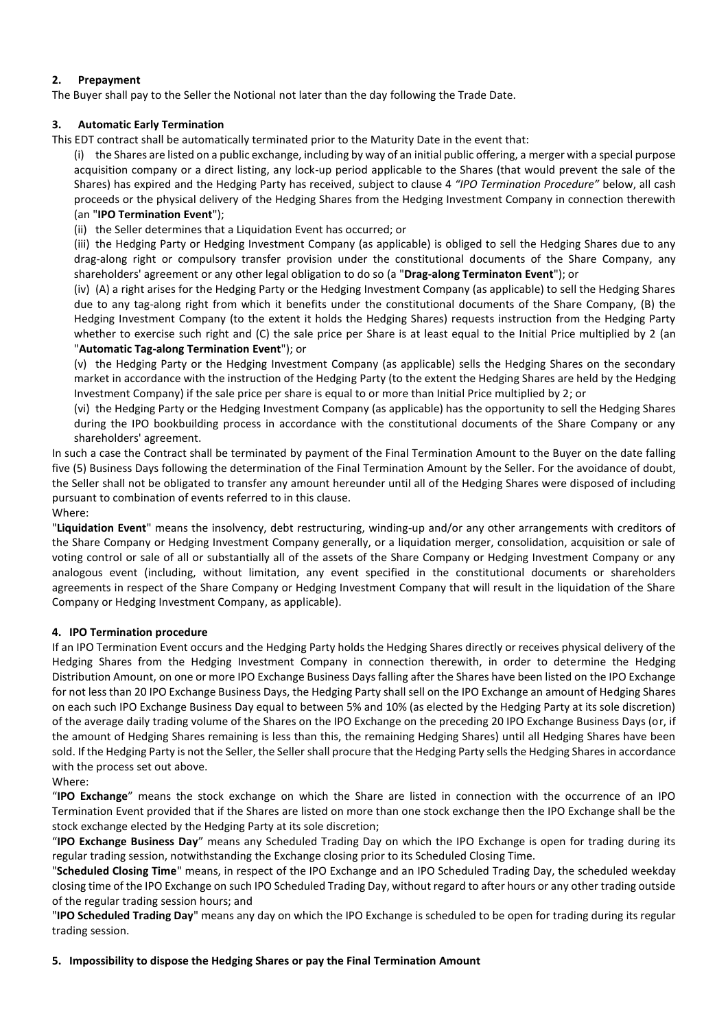# **2. Prepayment**

The Buyer shall pay to the Seller the Notional not later than the day following the Trade Date.

# **3. Automatic Early Termination**

This EDT contract shall be automatically terminated prior to the Maturity Date in the event that:

(i) the Shares are listed on a public exchange, including by way of an initial public offering, a merger with a special purpose acquisition company or a direct listing, any lock-up period applicable to the Shares (that would prevent the sale of the Shares) has expired and the Hedging Party has received, subject to clause 4 *"IPO Termination Procedure"* below, all cash proceeds or the physical delivery of the Hedging Shares from the Hedging Investment Company in connection therewith (an "**IPO Termination Event**");

(ii) the Seller determines that a Liquidation Event has occurred; or

(iii) the Hedging Party or Hedging Investment Company (as applicable) is obliged to sell the Hedging Shares due to any drag-along right or compulsory transfer provision under the constitutional documents of the Share Company, any shareholders' agreement or any other legal obligation to do so (a "**Drag-along Terminaton Event**"); or

(iv) (A) a right arises for the Hedging Party or the Hedging Investment Company (as applicable) to sell the Hedging Shares due to any tag-along right from which it benefits under the constitutional documents of the Share Company, (B) the Hedging Investment Company (to the extent it holds the Hedging Shares) requests instruction from the Hedging Party whether to exercise such right and (C) the sale price per Share is at least equal to the Initial Price multiplied by 2 (an "**Automatic Tag-along Termination Event**"); or

(v) the Hedging Party or the Hedging Investment Company (as applicable) sells the Hedging Shares on the secondary market in accordance with the instruction of the Hedging Party (to the extent the Hedging Shares are held by the Hedging Investment Company) if the sale price per share is equal to or more than Initial Price multiplied by 2; or

(vi) the Hedging Party or the Hedging Investment Company (as applicable) has the opportunity to sell the Hedging Shares during the IPO bookbuilding process in accordance with the constitutional documents of the Share Company or any shareholders' agreement.

In such a case the Contract shall be terminated by payment of the Final Termination Amount to the Buyer on the date falling five (5) Business Days following the determination of the Final Termination Amount by the Seller. For the avoidance of doubt, the Seller shall not be obligated to transfer any amount hereunder until all of the Hedging Shares were disposed of including pursuant to combination of events referred to in this clause.

# Where:

"**Liquidation Event**" means the insolvency, debt restructuring, winding-up and/or any other arrangements with creditors of the Share Company or Hedging Investment Company generally, or a liquidation merger, consolidation, acquisition or sale of voting control or sale of all or substantially all of the assets of the Share Company or Hedging Investment Company or any analogous event (including, without limitation, any event specified in the constitutional documents or shareholders agreements in respect of the Share Company or Hedging Investment Company that will result in the liquidation of the Share Company or Hedging Investment Company, as applicable).

## **4. IPO Termination procedure**

If an IPO Termination Event occurs and the Hedging Party holds the Hedging Shares directly or receives physical delivery of the Hedging Shares from the Hedging Investment Company in connection therewith, in order to determine the Hedging Distribution Amount, on one or more IPO Exchange Business Days falling after the Shares have been listed on the IPO Exchange for not less than 20 IPO Exchange Business Days, the Hedging Party shall sell on the IPO Exchange an amount of Hedging Shares on each such IPO Exchange Business Day equal to between 5% and 10% (as elected by the Hedging Party at its sole discretion) of the average daily trading volume of the Shares on the IPO Exchange on the preceding 20 IPO Exchange Business Days (or, if the amount of Hedging Shares remaining is less than this, the remaining Hedging Shares) until all Hedging Shares have been sold. If the Hedging Party is not the Seller, the Seller shall procure that the Hedging Party sells the Hedging Shares in accordance with the process set out above.

## Where:

"**IPO Exchange**" means the stock exchange on which the Share are listed in connection with the occurrence of an IPO Termination Event provided that if the Shares are listed on more than one stock exchange then the IPO Exchange shall be the stock exchange elected by the Hedging Party at its sole discretion;

"**IPO Exchange Business Day**" means any Scheduled Trading Day on which the IPO Exchange is open for trading during its regular trading session, notwithstanding the Exchange closing prior to its Scheduled Closing Time.

"**Scheduled Closing Time**" means, in respect of the IPO Exchange and an IPO Scheduled Trading Day, the scheduled weekday closing time of the IPO Exchange on such IPO Scheduled Trading Day, without regard to after hours or any other trading outside of the regular trading session hours; and

"**IPO Scheduled Trading Day**" means any day on which the IPO Exchange is scheduled to be open for trading during its regular trading session.

## **5. Impossibility to dispose the Hedging Shares or pay the Final Termination Amount**